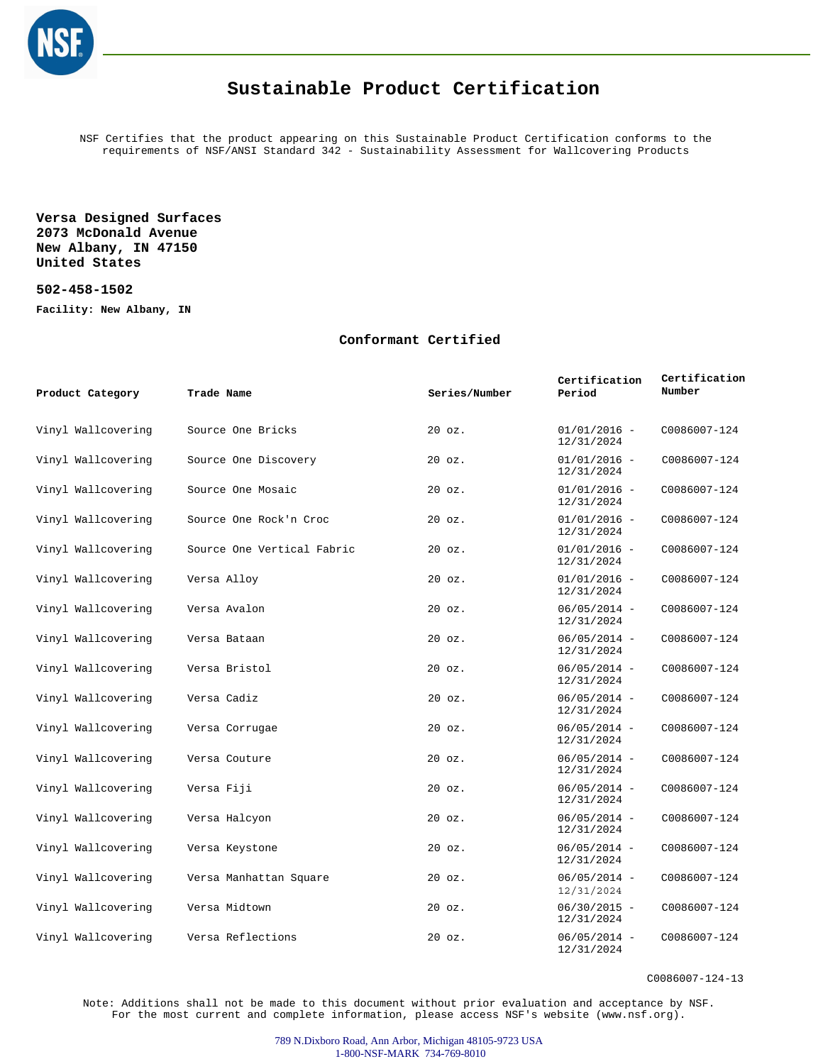

## **Sustainable Product Certification**

NSF Certifies that the product appearing on this Sustainable Product Certification conforms to the requirements of NSF/ANSI Standard 342 - Sustainability Assessment for Wallcovering Products

**Versa Designed Surfaces 2073 McDonald Avenue New Albany, IN 47150 United States**

**502-458-1502**

**Facility: New Albany, IN**

## **Conformant Certified**

| Product Category   | Trade Name                 | Series/Number    | Certification<br>Period      | Certification<br>Number |
|--------------------|----------------------------|------------------|------------------------------|-------------------------|
| Vinyl Wallcovering | Source One Bricks          | $20$ $oz.$       | $01/01/2016 -$<br>12/31/2024 | C0086007-124            |
| Vinyl Wallcovering | Source One Discovery       | $20$ $oz.$       | $01/01/2016 -$<br>12/31/2024 | C0086007-124            |
| Vinyl Wallcovering | Source One Mosaic          | $20$ $oz.$       | $01/01/2016 -$<br>12/31/2024 | C0086007-124            |
| Vinyl Wallcovering | Source One Rock'n Croc     | $20$ $oz.$       | $01/01/2016 -$<br>12/31/2024 | C0086007-124            |
| Vinyl Wallcovering | Source One Vertical Fabric | $20$ $oz.$       | $01/01/2016 -$<br>12/31/2024 | C0086007-124            |
| Vinyl Wallcovering | Versa Alloy                | $20$ $oz.$       | $01/01/2016 -$<br>12/31/2024 | C0086007-124            |
| Vinyl Wallcovering | Versa Avalon               | $20$ $oz.$       | $06/05/2014 -$<br>12/31/2024 | C0086007-124            |
| Vinyl Wallcovering | Versa Bataan               | $20$ $oz.$       | $06/05/2014 -$<br>12/31/2024 | C0086007-124            |
| Vinyl Wallcovering | Versa Bristol              | 20 oz.           | $06/05/2014 -$<br>12/31/2024 | C0086007-124            |
| Vinyl Wallcovering | Versa Cadiz                | $20$ $oz.$       | $06/05/2014 -$<br>12/31/2024 | C0086007-124            |
| Vinyl Wallcovering | Versa Corrugae             | $20$ $oz.$       | $06/05/2014 -$<br>12/31/2024 | C0086007-124            |
| Vinyl Wallcovering | Versa Couture              | $20 \text{ oz}.$ | $06/05/2014 -$<br>12/31/2024 | C0086007-124            |
| Vinyl Wallcovering | Versa Fiji                 | $20$ $oz.$       | $06/05/2014 -$<br>12/31/2024 | C0086007-124            |
| Vinyl Wallcovering | Versa Halcyon              | $20 \text{ oz}.$ | $06/05/2014 -$<br>12/31/2024 | C0086007-124            |
| Vinyl Wallcovering | Versa Keystone             | $20$ $oz.$       | $06/05/2014 -$<br>12/31/2024 | C0086007-124            |
| Vinyl Wallcovering | Versa Manhattan Square     | $20$ $oz.$       | $06/05/2014 -$<br>12/31/2024 | C0086007-124            |
| Vinyl Wallcovering | Versa Midtown              | $20$ $oz.$       | $06/30/2015 -$<br>12/31/2024 | C0086007-124            |
| Vinyl Wallcovering | Versa Reflections          | $20$ $oz.$       | $06/05/2014 -$<br>12/31/2024 | C0086007-124            |

C0086007-124-13

Note: Additions shall not be made to this document without prior evaluation and acceptance by NSF. For the most current and complete information, please access NSF's website (www.nsf.org).

> 789 N.Dixboro Road, Ann Arbor, Michigan 48105-9723 USA 1-800-NSF-MARK 734-769-8010